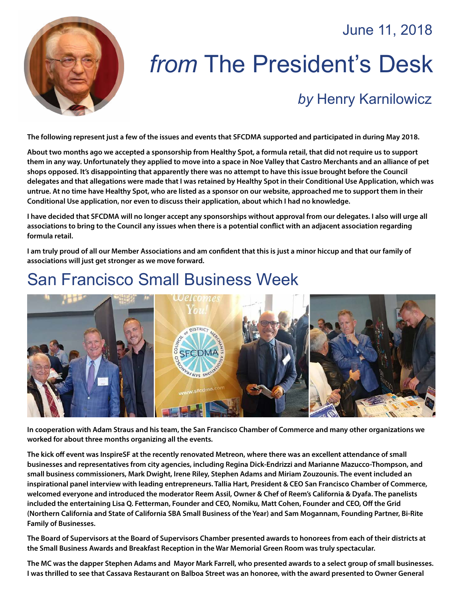### June 11, 2018



# *from* The President's Desk

## *by* [Henry Karnilowicz](mailto:henry@sfcdma.org)

**The following represent just a few of the issues and events that SFCDMA supported and participated in during May 2018.**

**About two months ago we accepted a sponsorship from Healthy Spot, a formula retail, that did not require us to support them in any way. Unfortunately they applied to move into a space in Noe Valley that Castro Merchants and an alliance of pet shops opposed. It's disappointing that apparently there was no attempt to have this issue brought before the Council delegates and that allegations were made that I was retained by Healthy Spot in their Conditional Use Application, which was untrue. At no time have Healthy Spot, who are listed as a sponsor on our website, approached me to support them in their Conditional Use application, nor even to discuss their application, about which I had no knowledge.**

**I have decided that SFCDMA will no longer accept any sponsorships without approval from our delegates. I also will urge all associations to bring to the Council any issues when there is a potential conflict with an adjacent association regarding formula retail.**

**I am truly proud of all our Member Associations and am confident that this is just a minor hiccup and that our family of associations will just get stronger as we move forward.**

# San Francisco Small Business Week



**In cooperation with Adam Straus and his team, the San Francisco Chamber of Commerce and many other organizations we worked for about three months organizing all the events.**

**The kick off event was InspireSF at the recently renovated Metreon, where there was an excellent attendance of small businesses and representatives from city agencies, including Regina Dick-Endrizzi and Marianne Mazucco-Thompson, and small business commissioners, Mark Dwight, Irene Riley, Stephen Adams and Miriam Zouzounis. The event included an inspirational panel interview with leading entrepreneurs. Tallia Hart, President & CEO San Francisco Chamber of Commerce, welcomed everyone and introduced the moderator Reem Assil, Owner & Chef of Reem's California & Dyafa. The panelists included the entertaining Lisa Q. Fetterman, Founder and CEO, Nomiku, Matt Cohen, Founder and CEO, Off the Grid (Northern California and State of California SBA Small Business of the Year) and Sam Mogannam, Founding Partner, Bi-Rite Family of Businesses.**

**The Board of Supervisors at the Board of Supervisors Chamber presented awards to honorees from each of their districts at the Small Business Awards and Breakfast Reception in the War Memorial Green Room was truly spectacular.**

**The MC was the dapper Stephen Adams and Mayor Mark Farrell, who presented awards to a select group of small businesses. I was thrilled to see that Cassava Restaurant on Balboa Street was an honoree, with the award presented to Owner General**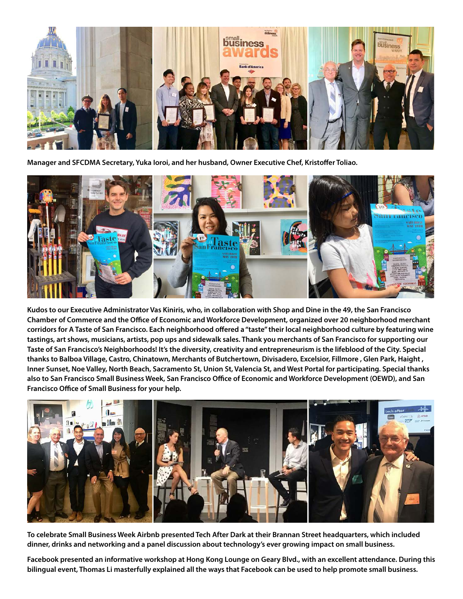

**Manager and SFCDMA Secretary, Yuka Ioroi, and her husband, Owner Executive Chef, Kristoffer Toliao.**



**Kudos to our Executive Administrator Vas Kiniris, who, in collaboration with Shop and Dine in the 49, the San Francisco Chamber of Commerce and the Office of Economic and Workforce Development, organized over 20 neighborhood merchant corridors for A Taste of San Francisco. Each neighborhood offered a "taste" their local neighborhood culture by featuring wine tastings, art shows, musicians, artists, pop ups and sidewalk sales. Thank you merchants of San Francisco for supporting our Taste of San Francisco's Neighborhoods! It's the diversity, creativity and entrepreneurism is the lifeblood of the City. Special thanks to Balboa Village, Castro, Chinatown, Merchants of Butchertown, Divisadero, Excelsior, Fillmore , Glen Park, Haight , Inner Sunset, Noe Valley, North Beach, Sacramento St, Union St, Valencia St, and West Portal for participating. Special thanks also to San Francisco Small Business Week, San Francisco Office of Economic and Workforce Development (OEWD), and San Francisco Office of Small Business for your help.**



**To celebrate Small Business Week Airbnb presented Tech After Dark at their Brannan Street headquarters, which included dinner, drinks and networking and a panel discussion about technology's ever growing impact on small business.**

**Facebook presented an informative workshop at Hong Kong Lounge on Geary Blvd., with an excellent attendance. During this bilingual event, Thomas Li masterfully explained all the ways that Facebook can be used to help promote small business.**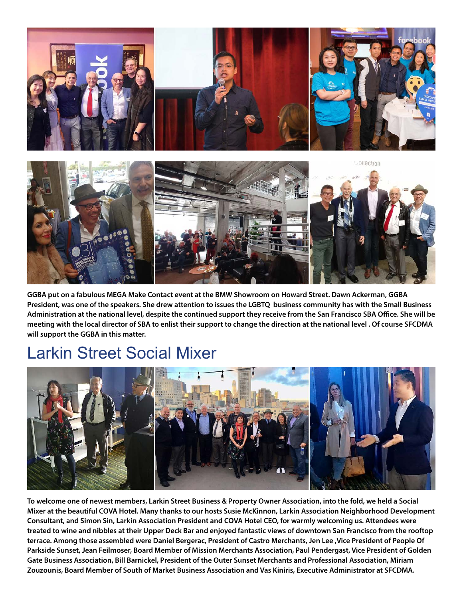

**GGBA put on a fabulous MEGA Make Contact event at the BMW Showroom on Howard Street. Dawn Ackerman, GGBA President, was one of the speakers. She drew attention to issues the LGBTQ business community has with the Small Business Administration at the national level, despite the continued support they receive from the San Francisco SBA Office. She will be meeting with the local director of SBA to enlist their support to change the direction at the national level . Of course SFCDMA will support the GGBA in this matter.**

## Larkin Street Social Mixer



**To welcome one of newest members, Larkin Street Business & Property Owner Association, into the fold, we held a Social Mixer at the beautiful COVA Hotel. Many thanks to our hosts Susie McKinnon, Larkin Association Neighborhood Development Consultant, and Simon Sin, Larkin Association President and COVA Hotel CEO, for warmly welcoming us. Attendees were treated to wine and nibbles at their Upper Deck Bar and enjoyed fantastic views of downtown San Francisco from the rooftop terrace. Among those assembled were Daniel Bergerac, President of Castro Merchants, Jen Lee ,Vice President of People Of Parkside Sunset, Jean Feilmoser, Board Member of Mission Merchants Association, Paul Pendergast, Vice President of Golden Gate Business Association, Bill Barnickel, President of the Outer Sunset Merchants and Professional Association, Miriam Zouzounis, Board Member of South of Market Business Association and Vas Kiniris, Executive Administrator at SFCDMA.**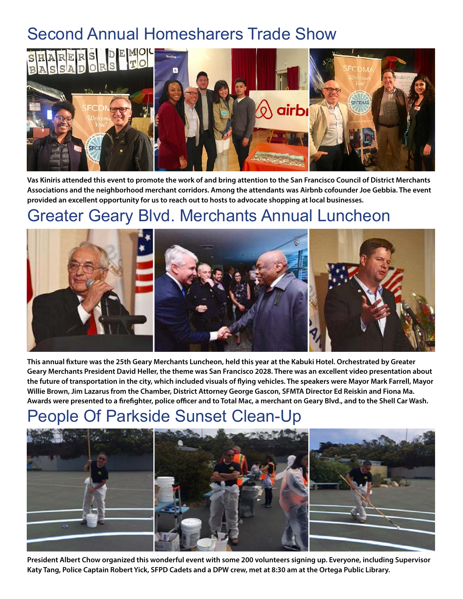# Second Annual Homesharers Trade Show



**Vas Kiniris attended this event to promote the work of and bring attention to the San Francisco Council of District Merchants Associations and the neighborhood merchant corridors. Among the attendants was Airbnb cofounder Joe Gebbia. The event provided an excellent opportunity for us to reach out to hosts to advocate shopping at local businesses.**

## Greater Geary Blvd. Merchants Annual Luncheon



**This annual fixture was the 25th Geary Merchants Luncheon, held this year at the Kabuki Hotel. Orchestrated by Greater Geary Merchants President David Heller, the theme was San Francisco 2028. There was an excellent video presentation about the future of transportation in the city, which included visuals of flying vehicles. The speakers were Mayor Mark Farrell, Mayor Willie Brown, Jim Lazarus from the Chamber, District Attorney George Gascon, SFMTA Director Ed Reiskin and Fiona Ma. Awards were presented to a firefighter, police officer and to Total Mac, a merchant on Geary Blvd., and to the Shell Car Wash.**

# Parkside Sunset Clean-Up



**President Albert Chow organized this wonderful event with some 200 volunteers signing up. Everyone, including Supervisor Katy Tang, Police Captain Robert Yick, SFPD Cadets and a DPW crew, met at 8:30 am at the Ortega Public Library.**